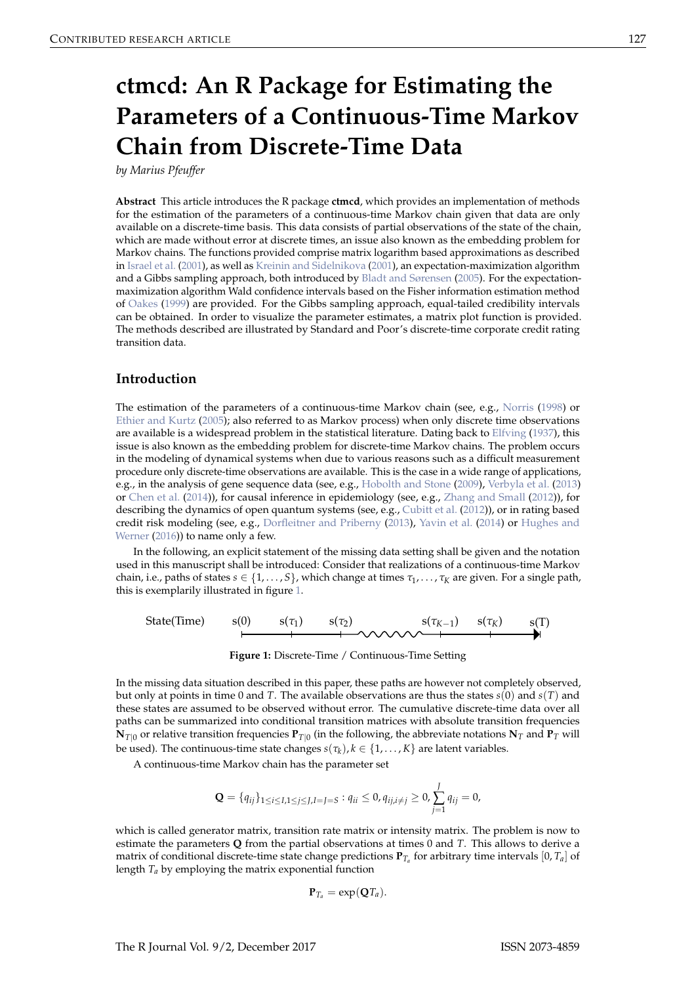# <span id="page-0-1"></span>**ctmcd: An R Package for Estimating the Parameters of a Continuous-Time Markov Chain from Discrete-Time Data**

*by Marius Pfeuffer*

**Abstract** This article introduces the R package **ctmcd**, which provides an implementation of methods for the estimation of the parameters of a continuous-time Markov chain given that data are only available on a discrete-time basis. This data consists of partial observations of the state of the chain, which are made without error at discrete times, an issue also known as the embedding problem for Markov chains. The functions provided comprise matrix logarithm based approximations as described in [Israel et al.](#page-13-0) [\(2001\)](#page-13-0), as well as [Kreinin and Sidelnikova](#page-13-1) [\(2001\)](#page-13-1), an expectation-maximization algorithm and a Gibbs sampling approach, both introduced by [Bladt and Sørensen](#page-12-0) [\(2005\)](#page-12-0). For the expectationmaximization algorithm Wald confidence intervals based on the Fisher information estimation method of [Oakes](#page-13-2) [\(1999\)](#page-13-2) are provided. For the Gibbs sampling approach, equal-tailed credibility intervals can be obtained. In order to visualize the parameter estimates, a matrix plot function is provided. The methods described are illustrated by Standard and Poor's discrete-time corporate credit rating transition data.

# **Introduction**

The estimation of the parameters of a continuous-time Markov chain (see, e.g., [Norris](#page-13-3) [\(1998\)](#page-13-3) or [Ethier and Kurtz](#page-12-1) [\(2005\)](#page-12-1); also referred to as Markov process) when only discrete time observations are available is a widespread problem in the statistical literature. Dating back to [Elfving](#page-12-2) [\(1937\)](#page-12-2), this issue is also known as the embedding problem for discrete-time Markov chains. The problem occurs in the modeling of dynamical systems when due to various reasons such as a difficult measurement procedure only discrete-time observations are available. This is the case in a wide range of applications, e.g., in the analysis of gene sequence data (see, e.g., [Hobolth and Stone](#page-13-4) [\(2009\)](#page-13-4), [Verbyla et al.](#page-14-0) [\(2013\)](#page-14-0) or [Chen et al.](#page-12-3) [\(2014\)](#page-12-3)), for causal inference in epidemiology (see, e.g., [Zhang and Small](#page-14-1) [\(2012\)](#page-14-1)), for describing the dynamics of open quantum systems (see, e.g., [Cubitt et al.](#page-12-4) [\(2012\)](#page-12-4)), or in rating based credit risk modeling (see, e.g., [Dorfleitner and Priberny](#page-12-5) [\(2013\)](#page-12-5), [Yavin et al.](#page-14-2) [\(2014\)](#page-14-2) or [Hughes and](#page-13-5) [Werner](#page-13-5) [\(2016\)](#page-13-5)) to name only a few.

In the following, an explicit statement of the missing data setting shall be given and the notation used in this manuscript shall be introduced: Consider that realizations of a continuous-time Markov chain, i.e., paths of states  $s \in \{1,\ldots,S\}$ , which change at times  $\tau_1,\ldots,\tau_K$  are given. For a single path, this is exemplarily illustrated in figure [1.](#page-0-0)

<span id="page-0-0"></span>State(Time) 
$$
s(0)
$$
  $s(\tau_1)$   $s(\tau_2)$   $s(\tau_{K-1})$   $s(\tau_K)$   $s(T)$ 

**Figure 1:** Discrete-Time / Continuous-Time Setting

In the missing data situation described in this paper, these paths are however not completely observed, but only at points in time 0 and *T*. The available observations are thus the states *s*(0) and *s*(*T*) and these states are assumed to be observed without error. The cumulative discrete-time data over all paths can be summarized into conditional transition matrices with absolute transition frequencies  ${\bf N}_{T|0}$  or relative transition frequencies  ${\bf P}_{T|0}$  (in the following, the abbreviate notations  ${\bf N}_T$  and  ${\bf P}_T$  will be used). The continuous-time state changes  $s(\tau_k)$ ,  $k \in \{1, ..., K\}$  are latent variables.

A continuous-time Markov chain has the parameter set

$$
\mathbf{Q} = \{q_{ij}\}_{1 \leq i \leq I, 1 \leq j \leq J, I = J = S} : q_{ii} \leq 0, q_{ij,i \neq j} \geq 0, \sum_{j=1}^{J} q_{ij} = 0,
$$

which is called generator matrix, transition rate matrix or intensity matrix. The problem is now to estimate the parameters **Q** from the partial observations at times 0 and *T*. This allows to derive a matrix of conditional discrete-time state change predictions  $P_{T_a}$  for arbitrary time intervals  $[0, T_a]$  of length *Ta* by employing the matrix exponential function

$$
\mathbf{P}_{T_a} = \exp(\mathbf{Q}T_a).
$$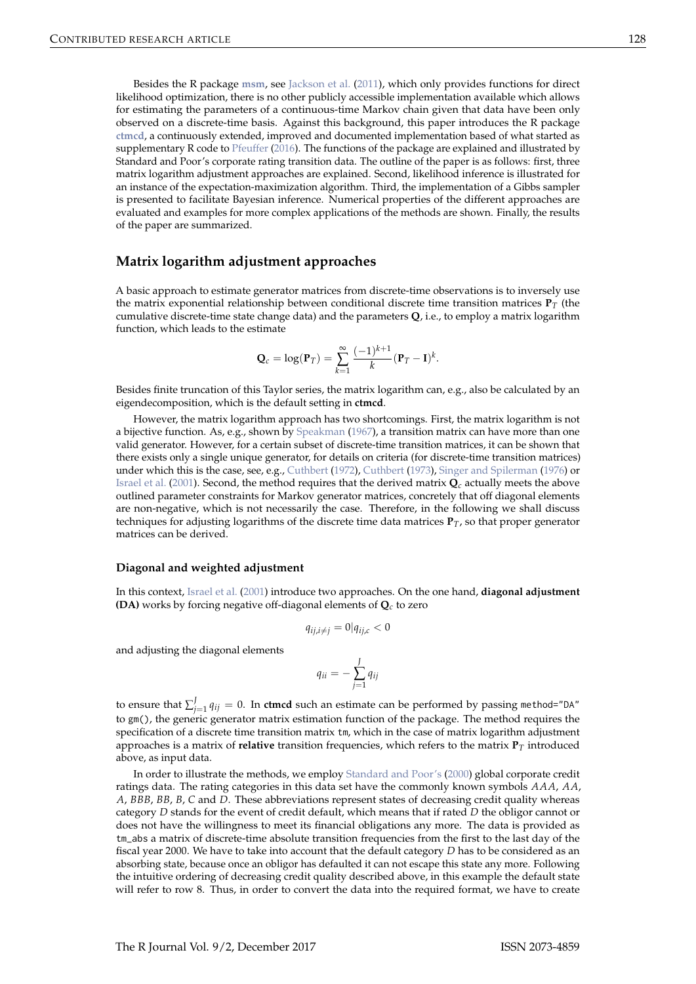<span id="page-1-0"></span>Besides the R package **[msm](https://CRAN.R-project.org/package=msm)**, see [Jackson et al.](#page-13-6) [\(2011\)](#page-13-6), which only provides functions for direct likelihood optimization, there is no other publicly accessible implementation available which allows for estimating the parameters of a continuous-time Markov chain given that data have been only observed on a discrete-time basis. Against this background, this paper introduces the R package **[ctmcd](https://CRAN.R-project.org/package=ctmcd)**, a continuously extended, improved and documented implementation based of what started as supplementary R code to [Pfeuffer](#page-13-7) [\(2016\)](#page-13-7). The functions of the package are explained and illustrated by Standard and Poor's corporate rating transition data. The outline of the paper is as follows: first, three matrix logarithm adjustment approaches are explained. Second, likelihood inference is illustrated for an instance of the expectation-maximization algorithm. Third, the implementation of a Gibbs sampler is presented to facilitate Bayesian inference. Numerical properties of the different approaches are evaluated and examples for more complex applications of the methods are shown. Finally, the results of the paper are summarized.

## **Matrix logarithm adjustment approaches**

A basic approach to estimate generator matrices from discrete-time observations is to inversely use the matrix exponential relationship between conditional discrete time transition matrices  $P_T$  (the cumulative discrete-time state change data) and the parameters **Q**, i.e., to employ a matrix logarithm function, which leads to the estimate

$$
\mathbf{Q}_c = \log(\mathbf{P}_T) = \sum_{k=1}^{\infty} \frac{(-1)^{k+1}}{k} (\mathbf{P}_T - \mathbf{I})^k.
$$

Besides finite truncation of this Taylor series, the matrix logarithm can, e.g., also be calculated by an eigendecomposition, which is the default setting in **ctmcd**.

However, the matrix logarithm approach has two shortcomings. First, the matrix logarithm is not a bijective function. As, e.g., shown by [Speakman](#page-14-3) [\(1967\)](#page-14-3), a transition matrix can have more than one valid generator. However, for a certain subset of discrete-time transition matrices, it can be shown that there exists only a single unique generator, for details on criteria (for discrete-time transition matrices) under which this is the case, see, e.g., [Cuthbert](#page-12-6) [\(1972\)](#page-12-6), [Cuthbert](#page-12-7) [\(1973\)](#page-12-7), [Singer and Spilerman](#page-13-8) [\(1976\)](#page-13-8) or [Israel et al.](#page-13-0) [\(2001\)](#page-13-0). Second, the method requires that the derived matrix **Q***c* actually meets the above outlined parameter constraints for Markov generator matrices, concretely that off diagonal elements are non-negative, which is not necessarily the case. Therefore, in the following we shall discuss techniques for adjusting logarithms of the discrete time data matrices **P***T*, so that proper generator matrices can be derived.

#### **Diagonal and weighted adjustment**

In this context, [Israel et al.](#page-13-0) [\(2001\)](#page-13-0) introduce two approaches. On the one hand, **diagonal adjustment (DA)** works by forcing negative off-diagonal elements of **Q***c* to zero

$$
q_{ij,i\neq j} = 0 | q_{ij,c} < 0
$$

and adjusting the diagonal elements

$$
q_{ii} = -\sum_{j=1}^{J} q_{ij}
$$

to ensure that  $\sum_{j=1}^{J} q_{ij} = 0$ . In ctmcd such an estimate can be performed by passing method="DA" to gm(), the generic generator matrix estimation function of the package. The method requires the specification of a discrete time transition matrix tm, which in the case of matrix logarithm adjustment approaches is a matrix of **relative** transition frequencies, which refers to the matrix  $P_T$  introduced above, as input data.

In order to illustrate the methods, we employ [Standard and Poor's](#page-14-4) [\(2000\)](#page-14-4) global corporate credit ratings data. The rating categories in this data set have the commonly known symbols *AAA*, *AA*, *A*, *BBB*, *BB*, *B*, *C* and *D*. These abbreviations represent states of decreasing credit quality whereas category *D* stands for the event of credit default, which means that if rated *D* the obligor cannot or does not have the willingness to meet its financial obligations any more. The data is provided as tm\_abs a matrix of discrete-time absolute transition frequencies from the first to the last day of the fiscal year 2000. We have to take into account that the default category *D* has to be considered as an absorbing state, because once an obligor has defaulted it can not escape this state any more. Following the intuitive ordering of decreasing credit quality described above, in this example the default state will refer to row 8. Thus, in order to convert the data into the required format, we have to create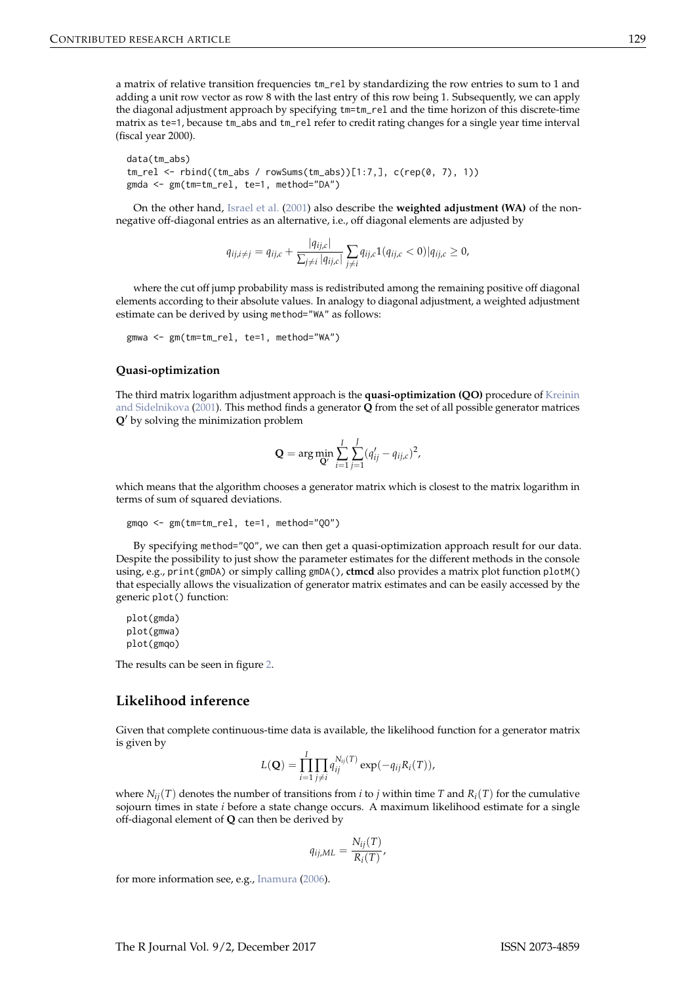<span id="page-2-0"></span>a matrix of relative transition frequencies tm\_rel by standardizing the row entries to sum to 1 and adding a unit row vector as row 8 with the last entry of this row being 1. Subsequently, we can apply the diagonal adjustment approach by specifying tm=tm\_rel and the time horizon of this discrete-time matrix as te=1, because tm\_abs and tm\_rel refer to credit rating changes for a single year time interval (fiscal year 2000).

```
data(tm_abs)
tm_{rel} < - rbind((tm_abs / rowSums(tm_abs))[1:7,], c(rep(0, 7), 1))
gmda <- gm(tm=tm_rel, te=1, method="DA")
```
On the other hand, [Israel et al.](#page-13-0) [\(2001\)](#page-13-0) also describe the **weighted adjustment (WA)** of the nonnegative off-diagonal entries as an alternative, i.e., off diagonal elements are adjusted by

$$
q_{ij,i\neq j} = q_{ij,c} + \frac{|q_{ij,c}|}{\sum_{j\neq i} |q_{ij,c}|} \sum_{j\neq i} q_{ij,c} 1(q_{ij,c} < 0) | q_{ij,c} \geq 0,
$$

where the cut off jump probability mass is redistributed among the remaining positive off diagonal elements according to their absolute values. In analogy to diagonal adjustment, a weighted adjustment estimate can be derived by using method="WA" as follows:

gmwa <- gm(tm=tm\_rel, te=1, method="WA")

#### **Quasi-optimization**

The third matrix logarithm adjustment approach is the **quasi-optimization (QO)** procedure of [Kreinin](#page-13-1) [and Sidelnikova](#page-13-1) [\(2001\)](#page-13-1). This method finds a generator **Q** from the set of all possible generator matrices  $Q'$  by solving the minimization problem

$$
Q = \arg\min_{Q'} \sum_{i=1}^{I} \sum_{j=1}^{J} (q'_{ij} - q_{ij,c})^2,
$$

which means that the algorithm chooses a generator matrix which is closest to the matrix logarithm in terms of sum of squared deviations.

```
gmqo <- gm(tm=tm_rel, te=1, method="QO")
```
By specifying method="QO", we can then get a quasi-optimization approach result for our data. Despite the possibility to just show the parameter estimates for the different methods in the console using, e.g., print(gmDA) or simply calling gmDA(), **ctmcd** also provides a matrix plot function plotM() that especially allows the visualization of generator matrix estimates and can be easily accessed by the generic plot() function:

plot(gmda) plot(gmwa) plot(gmqo)

The results can be seen in figure [2.](#page-3-0)

## **Likelihood inference**

Given that complete continuous-time data is available, the likelihood function for a generator matrix is given by

$$
L(\mathbf{Q}) = \prod_{i=1}^{I} \prod_{j \neq i} q_{ij}^{N_{ij}(T)} \exp(-q_{ij}R_i(T)),
$$

where *Nij*(*T*) denotes the number of transitions from *i* to *j* within time *T* and *R<sup>i</sup>* (*T*) for the cumulative sojourn times in state *i* before a state change occurs. A maximum likelihood estimate for a single off-diagonal element of **Q** can then be derived by

$$
q_{ij,ML} = \frac{N_{ij}(T)}{R_i(T)},
$$

for more information see, e.g., [Inamura](#page-13-9) [\(2006\)](#page-13-9).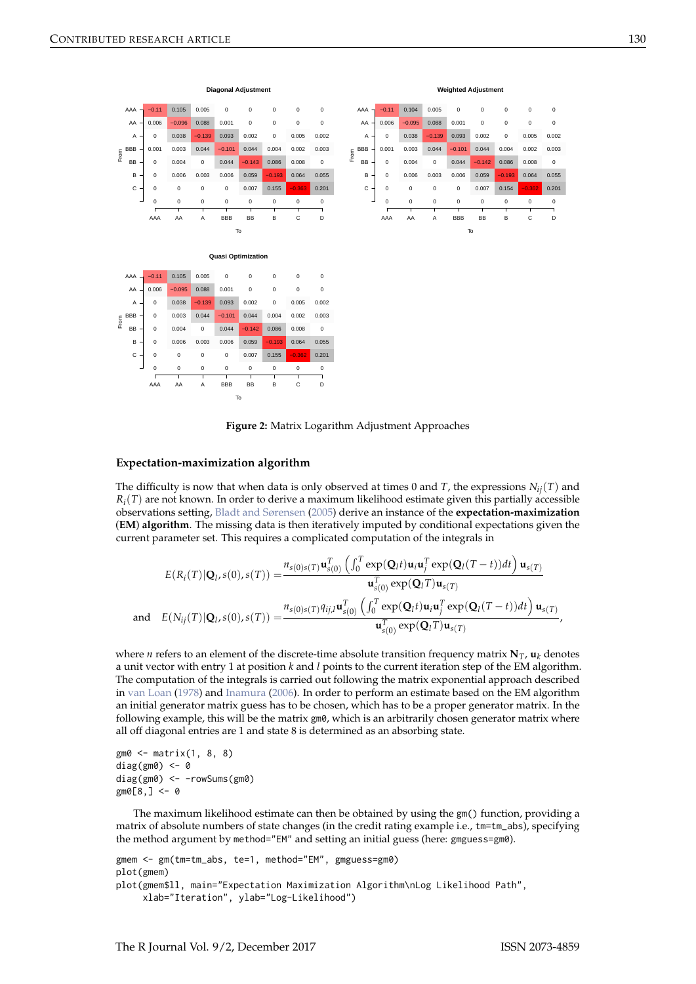<span id="page-3-1"></span><span id="page-3-0"></span>

**Figure 2:** Matrix Logarithm Adjustment Approaches

#### **Expectation-maximization algorithm**

The difficulty is now that when data is only observed at times 0 and *T*, the expressions *Nij*(*T*) and  $R_i(T)$  are not known. In order to derive a maximum likelihood estimate given this partially accessible observations setting, [Bladt and Sørensen](#page-12-0) [\(2005\)](#page-12-0) derive an instance of the **expectation-maximization** (**EM**) **algorithm**. The missing data is then iteratively imputed by conditional expectations given the current parameter set. This requires a complicated computation of the integrals in

$$
E(R_i(T)|\mathbf{Q}_l, s(0), s(T)) = \frac{n_{s(0)s(T)}\mathbf{u}_{s(0)}^T \left(\int_0^T \exp(\mathbf{Q}_l t)\mathbf{u}_i \mathbf{u}_j^T \exp(\mathbf{Q}_l (T-t)) dt\right) \mathbf{u}_{s(T)}}{\mathbf{u}_{s(0)}^T \exp(\mathbf{Q}_l T)\mathbf{u}_{s(T)}}
$$
  
and 
$$
E(N_{ij}(T)|\mathbf{Q}_l, s(0), s(T)) = \frac{n_{s(0)s(T)}q_{ij,l}\mathbf{u}_{s(0)}^T \left(\int_0^T \exp(\mathbf{Q}_l t)\mathbf{u}_i \mathbf{u}_j^T \exp(\mathbf{Q}_l (T-t)) dt\right) \mathbf{u}_{s(T)}}{\mathbf{u}_{s(0)}^T \exp(\mathbf{Q}_l T)\mathbf{u}_{s(T)}}
$$

where *n* refers to an element of the discrete-time absolute transition frequency matrix  $N_T$ ,  $u_k$  denotes a unit vector with entry 1 at position *k* and *l* points to the current iteration step of the EM algorithm. The computation of the integrals is carried out following the matrix exponential approach described in [van Loan](#page-14-5) [\(1978\)](#page-14-5) and [Inamura](#page-13-9) [\(2006\)](#page-13-9). In order to perform an estimate based on the EM algorithm an initial generator matrix guess has to be chosen, which has to be a proper generator matrix. In the following example, this will be the matrix gm0, which is an arbitrarily chosen generator matrix where all off diagonal entries are 1 and state 8 is determined as an absorbing state.

gm0 <- matrix(1, 8, 8) diag(gm0)  $<-$  0 diag(gm0) <- -rowSums(gm0)  $gm0[8, ] < - 0$ 

The maximum likelihood estimate can then be obtained by using the gm() function, providing a matrix of absolute numbers of state changes (in the credit rating example i.e., tm=tm\_abs), specifying the method argument by method="EM" and setting an initial guess (here: gmguess=gm0).

```
gmem <- gm(tm=tm_abs, te=1, method="EM", gmguess=gm0)
plot(gmem)
plot(gmem$ll, main="Expectation Maximization Algorithm\nLog Likelihood Path",
     xlab="Iteration", ylab="Log-Likelihood")
```
,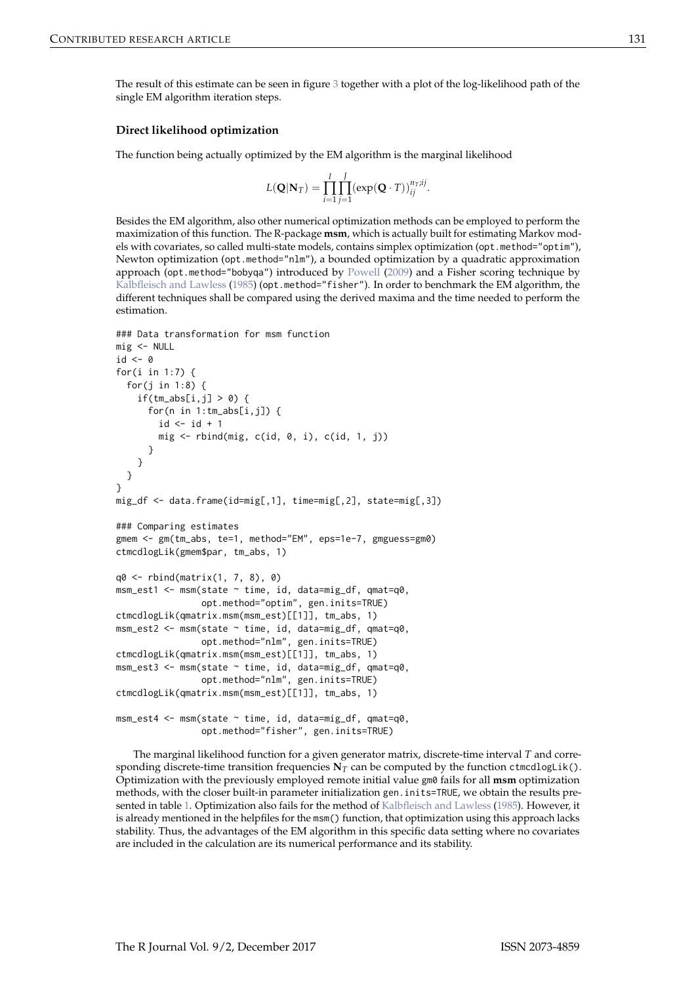<span id="page-4-0"></span>The result of this estimate can be seen in figure  $3$  together with a plot of the log-likelihood path of the single EM algorithm iteration steps.

### **Direct likelihood optimization**

The function being actually optimized by the EM algorithm is the marginal likelihood

$$
L(\mathbf{Q}|\mathbf{N}_T) = \prod_{i=1}^I \prod_{j=1}^J (\exp(\mathbf{Q} \cdot T))_{ij}^{n_T ij}.
$$

Besides the EM algorithm, also other numerical optimization methods can be employed to perform the maximization of this function. The R-package **msm**, which is actually built for estimating Markov models with covariates, so called multi-state models, contains simplex optimization (opt.method="optim"), Newton optimization (opt.method="nlm"), a bounded optimization by a quadratic approximation approach (opt.method="bobyqa") introduced by [Powell](#page-13-10) [\(2009\)](#page-13-10) and a Fisher scoring technique by [Kalbfleisch and Lawless](#page-13-11) [\(1985\)](#page-13-11) (opt.method="fisher"). In order to benchmark the EM algorithm, the different techniques shall be compared using the derived maxima and the time needed to perform the estimation.

```
### Data transformation for msm function
mig \leftarrow NULLid \leftarrow 0for(i in 1:7) {
 for(j in 1:8) {
    if(tm_abs[i,j] > 0) {
      for(n in 1:tm_abs[i,j]) {
        id \leftarrow id + 1mig \leftarrow \text{rbind}(mig, c(id, 0, i), c(id, 1, j))}
    }
 }
}
mig_df <- data.frame(id=mig[,1], time=mig[,2], state=mig[,3])
### Comparing estimates
gmem <- gm(tm_abs, te=1, method="EM", eps=1e-7, gmguess=gm0)
ctmcdlogLik(gmem$par, tm_abs, 1)
q0 <- rbind(matrix(1, 7, 8), 0)
msm_est1 <- msm(state ~ time, id, data=mig_df, qmat=q0,
                opt.method="optim", gen.inits=TRUE)
ctmcdlogLik(qmatrix.msm(msm_est)[[1]], tm_abs, 1)
msm_est2 <- msm(state ~ time, id, data=mig_df, qmat=q0,
                opt.method="nlm", gen.inits=TRUE)
ctmcdlogLik(qmatrix.msm(msm_est)[[1]], tm_abs, 1)
msm_est3 <- msm(state ~ time, id, data=mig_df, qmat=q0,
                opt.method="nlm", gen.inits=TRUE)
ctmcdlogLik(qmatrix.msm(msm_est)[[1]], tm_abs, 1)
msm_est4 <- msm(state ~ time, id, data=mig_df, qmat=q0,
                opt.method="fisher", gen.inits=TRUE)
```
The marginal likelihood function for a given generator matrix, discrete-time interval *T* and corresponding discrete-time transition frequencies  $N_T$  can be computed by the function ctmcdlogLik(). Optimization with the previously employed remote initial value gm0 fails for all **msm** optimization methods, with the closer built-in parameter initialization gen.inits=TRUE, we obtain the results presented in table [1.](#page-5-1) Optimization also fails for the method of [Kalbfleisch and Lawless](#page-13-11) [\(1985\)](#page-13-11). However, it is already mentioned in the helpfiles for the msm() function, that optimization using this approach lacks stability. Thus, the advantages of the EM algorithm in this specific data setting where no covariates are included in the calculation are its numerical performance and its stability.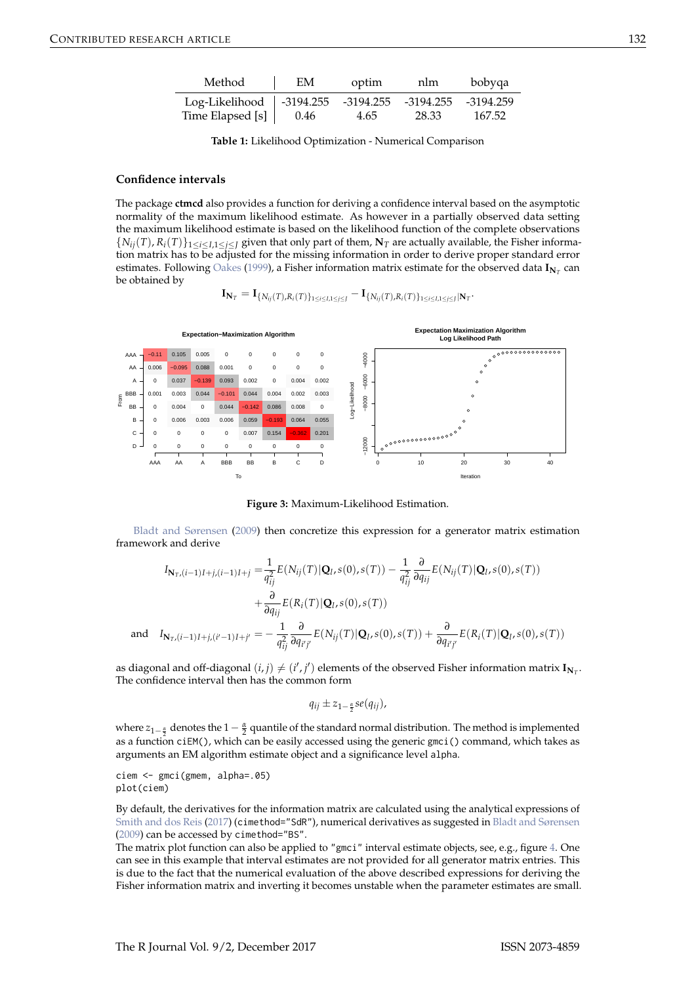<span id="page-5-2"></span><span id="page-5-1"></span>

| Method           | EМ        | optim     | nlm       | bobyqa    |  |  |
|------------------|-----------|-----------|-----------|-----------|--|--|
| Log-Likelihood   | -3194.255 | -3194.255 | -3194.255 | -3194.259 |  |  |
| Time Elapsed [s] | 0.46      | 4.65      | 28.33     | 167.52    |  |  |

**Table 1:** Likelihood Optimization - Numerical Comparison

#### **Confidence intervals**

The package **ctmcd** also provides a function for deriving a confidence interval based on the asymptotic normality of the maximum likelihood estimate. As however in a partially observed data setting the maximum likelihood estimate is based on the likelihood function of the complete observations  $\{N_{ij}(T), R_i(T)\}_{1 \le i \le I, 1 \le j \le J}$  given that only part of them,  $N_T$  are actually available, the Fisher information matrix has to be adjusted for the missing information in order to derive proper standard error estimates. Following [Oakes](#page-13-2) [\(1999\)](#page-13-2), a Fisher information matrix estimate for the observed data  $\mathbf{I}_{\mathbf{N}_T}$  can be obtained by

 $\mathbf{I}_{N_T} = \mathbf{I}_{\{N_{ij}(T), R_i(T)\}_{1 \leq i \leq I, 1 \leq j \leq J}} - \mathbf{I}_{\{N_{ij}(T), R_i(T)\}_{1 \leq i \leq I, 1 \leq j \leq J} | N_T \cdot N_T |}$ 

<span id="page-5-0"></span>

**Figure 3:** Maximum-Likelihood Estimation.

[Bladt and Sørensen](#page-12-8) [\(2009\)](#page-12-8) then concretize this expression for a generator matrix estimation framework and derive

$$
I_{\mathbf{N}_{T},(i-1)I+j,(i-1)I+j} = \frac{1}{q_{ij}^{2}} E(N_{ij}(T)|\mathbf{Q}_{I},s(0),s(T)) - \frac{1}{q_{ij}^{2}} \frac{\partial}{\partial q_{ij}} E(N_{ij}(T)|\mathbf{Q}_{I},s(0),s(T)) + \frac{\partial}{\partial q_{ij}} E(R_{i}(T)|\mathbf{Q}_{I},s(0),s(T))
$$
  
and 
$$
I_{\mathbf{N}_{T},(i-1)I+j,(i'-1)I+j'} = -\frac{1}{q_{ij}^{2}} \frac{\partial}{\partial q_{i'j'}} E(N_{ij}(T)|\mathbf{Q}_{I},s(0),s(T)) + \frac{\partial}{\partial q_{i'j'}} E(R_{i}(T)|\mathbf{Q}_{I},s(0),s(T))
$$

as diagonal and off-diagonal  $(i, j) \neq (i', j')$  elements of the observed Fisher information matrix  $I_{N_T}$ . The confidence interval then has the common form

$$
q_{ij} \pm z_{1-\frac{\alpha}{2}}se(q_{ij}),
$$

where  $z_{1-\frac{\alpha}{2}}$  denotes the  $1-\frac{\alpha}{2}$  quantile of the standard normal distribution. The method is implemented as a function ciEM(), which can be easily accessed using the generic gmci() command, which takes as arguments an EM algorithm estimate object and a significance level alpha.

ciem <- gmci(gmem, alpha=.05) plot(ciem)

By default, the derivatives for the information matrix are calculated using the analytical expressions of [Smith and dos Reis](#page-14-6) [\(2017\)](#page-14-6) (cimethod="SdR"), numerical derivatives as suggested in [Bladt and Sørensen](#page-12-8) [\(2009\)](#page-12-8) can be accessed by cimethod="BS".

The matrix plot function can also be applied to "gmci" interval estimate objects, see, e.g., figure [4.](#page-6-0) One can see in this example that interval estimates are not provided for all generator matrix entries. This is due to the fact that the numerical evaluation of the above described expressions for deriving the Fisher information matrix and inverting it becomes unstable when the parameter estimates are small.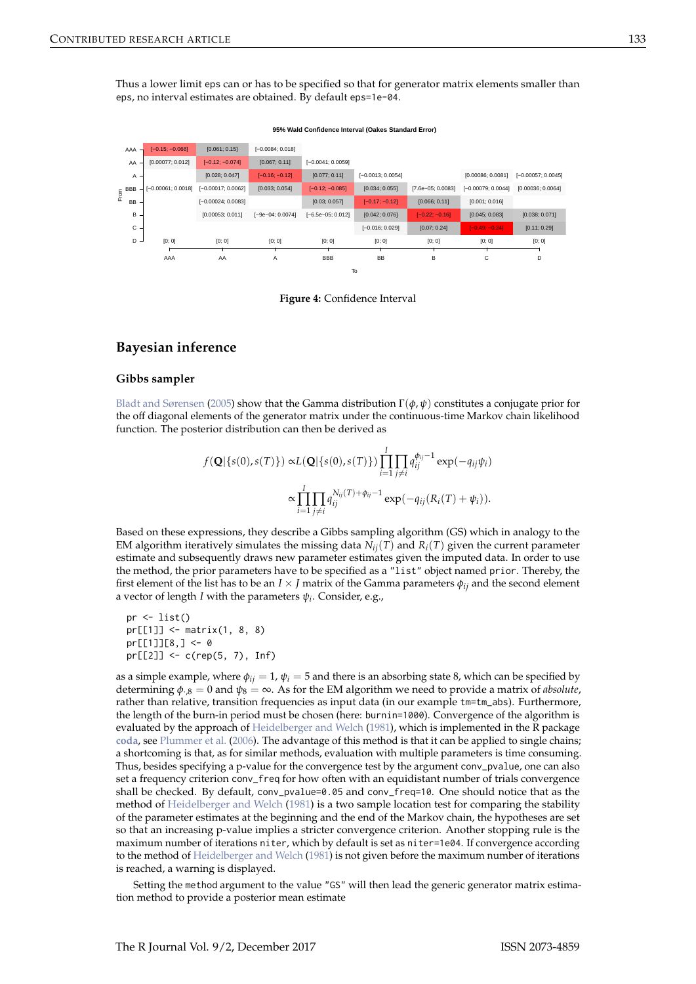<span id="page-6-1"></span>Thus a lower limit eps can or has to be specified so that for generator matrix elements smaller than eps, no interval estimates are obtained. By default eps=1e-04.

<span id="page-6-0"></span>

**95% Wald Confidence Interval (Oakes Standard Error)**



## **Bayesian inference**

#### **Gibbs sampler**

[Bladt and Sørensen](#page-12-0) [\(2005\)](#page-12-0) show that the Gamma distribution Γ(*φ*, *ψ*) constitutes a conjugate prior for the off diagonal elements of the generator matrix under the continuous-time Markov chain likelihood function. The posterior distribution can then be derived as

$$
f(\mathbf{Q}|\{s(0), s(T)\}) \propto L(\mathbf{Q}|\{s(0), s(T)\}) \prod_{i=1}^{I} \prod_{j \neq i} q_{ij}^{\phi_{ij}-1} \exp(-q_{ij}\psi_i)
$$

$$
\propto \prod_{i=1}^{I} \prod_{j \neq i} q_{ij}^{N_{ij}(T) + \phi_{ij}-1} \exp(-q_{ij}(R_i(T) + \psi_i)).
$$

Based on these expressions, they describe a Gibbs sampling algorithm (GS) which in analogy to the EM algorithm iteratively simulates the missing data  $N_{ij}(T)$  and  $R_i(T)$  given the current parameter estimate and subsequently draws new parameter estimates given the imputed data. In order to use the method, the prior parameters have to be specified as a "list" object named prior. Thereby, the first element of the list has to be an  $I \times J$  matrix of the Gamma parameters  $\phi_{ij}$  and the second element a vector of length *I* with the parameters *ψ<sup>i</sup>* . Consider, e.g.,

```
pr \leftarrow list()
pr[[1]] <- matrix(1, 8, 8)
pr[[1]][8,] < -0pr[[2]] <- c(rep(5, 7), Inf)
```
as a simple example, where  $\phi_{ij} = 1$ ,  $\psi_i = 5$  and there is an absorbing state 8, which can be specified by determining  $\phi_{\beta} = 0$  and  $\psi_8 = \infty$ . As for the EM algorithm we need to provide a matrix of *absolute*, rather than relative, transition frequencies as input data (in our example tm=tm\_abs). Furthermore, the length of the burn-in period must be chosen (here: burnin=1000). Convergence of the algorithm is evaluated by the approach of [Heidelberger and Welch](#page-13-12) [\(1981\)](#page-13-12), which is implemented in the R package **[coda](https://CRAN.R-project.org/package=coda)**, see [Plummer et al.](#page-13-13) [\(2006\)](#page-13-13). The advantage of this method is that it can be applied to single chains; a shortcoming is that, as for similar methods, evaluation with multiple parameters is time consuming. Thus, besides specifying a p-value for the convergence test by the argument conv\_pvalue, one can also set a frequency criterion conv\_freq for how often with an equidistant number of trials convergence shall be checked. By default, conv\_pvalue=0.05 and conv\_freq=10. One should notice that as the method of [Heidelberger and Welch](#page-13-12) [\(1981\)](#page-13-12) is a two sample location test for comparing the stability of the parameter estimates at the beginning and the end of the Markov chain, the hypotheses are set so that an increasing p-value implies a stricter convergence criterion. Another stopping rule is the maximum number of iterations niter, which by default is set as niter=1e04. If convergence according to the method of [Heidelberger and Welch](#page-13-12) [\(1981\)](#page-13-12) is not given before the maximum number of iterations is reached, a warning is displayed.

Setting the method argument to the value "GS" will then lead the generic generator matrix estimation method to provide a posterior mean estimate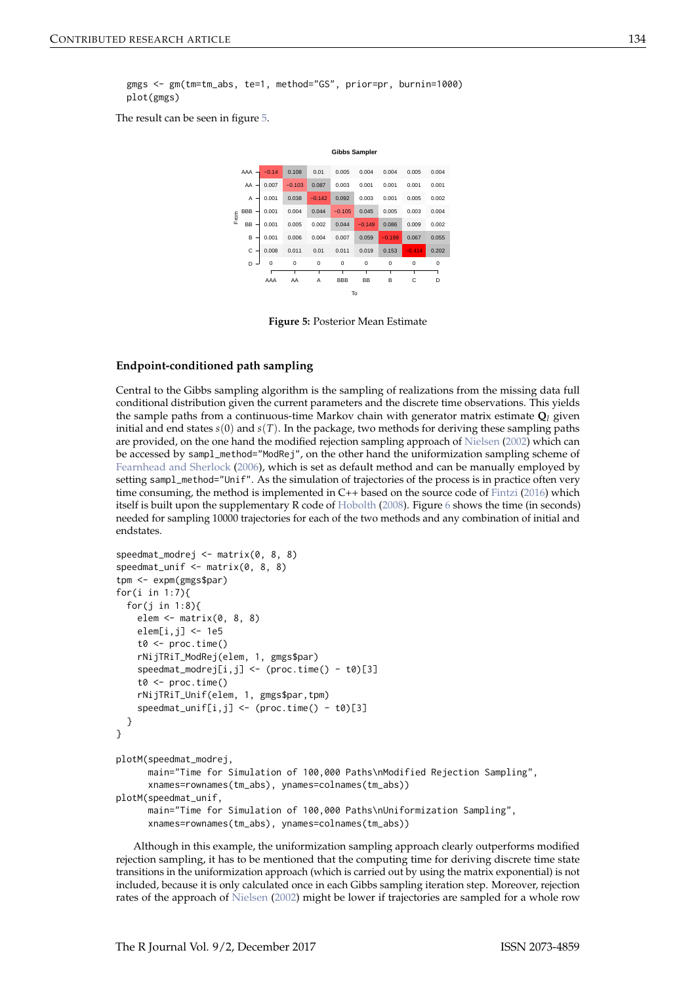<span id="page-7-1"></span><span id="page-7-0"></span>The result can be seen in figure [5.](#page-7-0)

|                    |                |          |          | Gibbs Sampler |          |          |          |       |  |  |  |  |
|--------------------|----------------|----------|----------|---------------|----------|----------|----------|-------|--|--|--|--|
| AAA                | $-0.14$        | 0.108    | 0.01     | 0.005         | 0.004    | 0.004    | 0.005    | 0.004 |  |  |  |  |
| AA                 | 0.007          | $-0.103$ | 0.087    | 0.003         | 0.001    | 0.001    | 0.001    | 0.001 |  |  |  |  |
| Α                  | 0.001          | 0.038    | $-0.142$ | 0.092         | 0.003    | 0.001    | 0.005    | 0.002 |  |  |  |  |
| <b>BBB</b><br>From | 0.001          | 0.004    | 0.044    | $-0.105$      | 0.045    | 0.005    | 0.003    | 0.004 |  |  |  |  |
| BB                 | 0.001<br>0.005 |          | 0.002    | 0.044         | $-0.149$ | 0.086    | 0.009    | 0.002 |  |  |  |  |
| B                  | 0.001          | 0.006    | 0.004    | 0.007         | 0.059    | $-0.199$ | 0.067    | 0.055 |  |  |  |  |
| C                  | 0.008          | 0.011    | 0.01     | 0.011         | 0.019    | 0.153    | $-0.414$ | 0.202 |  |  |  |  |
| D                  | $\Omega$       | $\Omega$ | 0        | $\mathbf 0$   | 0        | 0        | 0        | 0     |  |  |  |  |
|                    | AAA            | AA       | Α        | <b>BBB</b>    | BB       | в        | C        | D     |  |  |  |  |
|                    | To             |          |          |               |          |          |          |       |  |  |  |  |

**Gibbs Sampler**

**Figure 5:** Posterior Mean Estimate

#### **Endpoint-conditioned path sampling**

Central to the Gibbs sampling algorithm is the sampling of realizations from the missing data full conditional distribution given the current parameters and the discrete time observations. This yields the sample paths from a continuous-time Markov chain with generator matrix estimate  $Q_l$  given initial and end states *s*(0) and *s*(*T*). In the package, two methods for deriving these sampling paths are provided, on the one hand the modified rejection sampling approach of [Nielsen](#page-13-14) [\(2002\)](#page-13-14) which can be accessed by sampl\_method="ModRej", on the other hand the uniformization sampling scheme of [Fearnhead and Sherlock](#page-13-15) [\(2006\)](#page-13-15), which is set as default method and can be manually employed by setting sampl\_method="Unif". As the simulation of trajectories of the process is in practice often very time consuming, the method is implemented in C++ based on the source code of [Fintzi](#page-13-16) [\(2016\)](#page-13-16) which itself is built upon the supplementary R code of [Hobolth](#page-13-17) [\(2008\)](#page-13-17). Figure [6](#page-8-0) shows the time (in seconds) needed for sampling 10000 trajectories for each of the two methods and any combination of initial and endstates.

```
speedmat_modrej <- matrix(0, 8, 8)
speedmat_unif \leq matrix(0, 8, 8)
tpm <- expm(gmgs$par)
for(i in 1:7){
 for(j in 1:8){
    elem <- matrix(0, 8, 8)
    elem[i,j] <- 1e5
    t0 \leq -\text{proc.time}()rNijTRiT_ModRej(elem, 1, gmgs$par)
    speedmat_modrej[i,j] <- (proc.time() - t0)[3]
    t0 \leq -\text{proc.time}()rNijTRiT_Unif(elem, 1, gmgs$par,tpm)
    speedmat\_unif[i,j] \leftarrow (proc.time() - t0)[3]}
}
plotM(speedmat_modrej,
      main="Time for Simulation of 100,000 Paths\nModified Rejection Sampling",
      xnames=rownames(tm_abs), ynames=colnames(tm_abs))
plotM(speedmat_unif,
      main="Time for Simulation of 100,000 Paths\nUniformization Sampling",
      xnames=rownames(tm_abs), ynames=colnames(tm_abs))
```
Although in this example, the uniformization sampling approach clearly outperforms modified rejection sampling, it has to be mentioned that the computing time for deriving discrete time state transitions in the uniformization approach (which is carried out by using the matrix exponential) is not included, because it is only calculated once in each Gibbs sampling iteration step. Moreover, rejection rates of the approach of [Nielsen](#page-13-14) [\(2002\)](#page-13-14) might be lower if trajectories are sampled for a whole row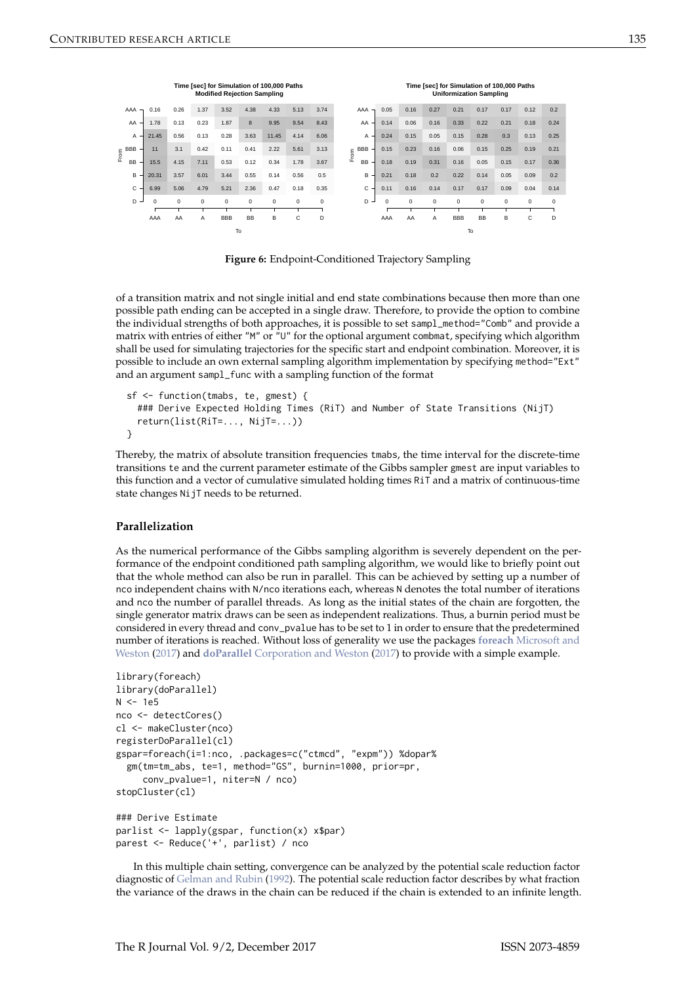<span id="page-8-1"></span><span id="page-8-0"></span>

|                    |          | Time [sec] for Simulation of 100,000 Paths<br><b>Modified Rejection Sampling</b> |          |            |            |       |             |             | Time [sec] for Simulation of 100,000 Paths<br><b>Uniformization Sampling</b> |          |          |          |            |          |          |          |             |
|--------------------|----------|----------------------------------------------------------------------------------|----------|------------|------------|-------|-------------|-------------|------------------------------------------------------------------------------|----------|----------|----------|------------|----------|----------|----------|-------------|
| $AAA -$            | 0.16     | 0.26                                                                             | 1.37     | 3.52       | 4.38       | 4.33  | 5.13        | 3.74        | $AAA$ $\neg$                                                                 | 0.05     | 0.16     | 0.27     | 0.21       | 0.17     | 0.17     | 0.12     | 0.2         |
| AA                 | 1.78     | 0.13                                                                             | 0.23     | 1.87       | 8          | 9.95  | 9.54        | 8.43        | AA                                                                           | 0.14     | 0.06     | 0.16     | 0.33       | 0.22     | 0.21     | 0.18     | 0.24        |
| A                  | 21.45    | 0.56                                                                             | 0.13     | 0.28       | 3.63       | 11.45 | 4.14        | 6.06        | $A -$                                                                        | 0.24     | 0.15     | 0.05     | 0.15       | 0.28     | 0.3      | 0.13     | 0.25        |
| <b>BBB</b><br>From | 11       | 3.1                                                                              | 0.42     | 0.11       | 0.41       | 2.22  | 5.61        | 3.13        | <b>BBB</b><br>From                                                           | 0.15     | 0.23     | 0.16     | 0.06       | 0.15     | 0.25     | 0.19     | 0.21        |
| BB                 | 15.5     | 4.15                                                                             | 7.11     | 0.53       | 0.12       | 0.34  | 1.78        | 3.67        | <b>BB</b>                                                                    | 0.18     | 0.19     | 0.31     | 0.16       | 0.05     | 0.15     | 0.17     | 0.36        |
| B                  | 20.31    | 3.57                                                                             | 6.01     | 3.44       | 0.55       | 0.14  | 0.56        | 0.5         | в                                                                            | 0.21     | 0.18     | 0.2      | 0.22       | 0.14     | 0.05     | 0.09     | 0.2         |
| C                  | 6.99     | 5.06                                                                             | 4.79     | 5.21       | 2.36       | 0.47  | 0.18        | 0.35        | C                                                                            | 0.11     | 0.16     | 0.14     | 0.17       | 0.17     | 0.09     | 0.04     | 0.14        |
| D                  | $\Omega$ | $\Omega$                                                                         | $\Omega$ | 0          | $^{\circ}$ | 0     | $\mathbf 0$ | $\mathbf 0$ | D                                                                            | $\Omega$ | $\Omega$ | $\Omega$ | $\Omega$   | $\Omega$ | $\Omega$ | $\Omega$ | $\mathbf 0$ |
|                    |          |                                                                                  |          |            |            |       |             |             |                                                                              |          |          |          |            |          |          |          |             |
|                    | AAA      | AA                                                                               | A        | <b>BBB</b> | <b>BB</b>  | в     | C           | D           |                                                                              | AAA      | AA       | Α        | <b>BBB</b> | BB       | в        | C        | D           |
| To                 |          |                                                                                  |          |            |            |       |             | To          |                                                                              |          |          |          |            |          |          |          |             |

**Figure 6:** Endpoint-Conditioned Trajectory Sampling

of a transition matrix and not single initial and end state combinations because then more than one possible path ending can be accepted in a single draw. Therefore, to provide the option to combine the individual strengths of both approaches, it is possible to set sampl\_method="Comb" and provide a matrix with entries of either "M" or "U" for the optional argument combmat, specifying which algorithm shall be used for simulating trajectories for the specific start and endpoint combination. Moreover, it is possible to include an own external sampling algorithm implementation by specifying method="Ext" and an argument sampl\_func with a sampling function of the format

```
sf <- function(tmabs, te, gmest) {
  ### Derive Expected Holding Times (RiT) and Number of State Transitions (NijT)
  return(list(RiT=..., NijT=...))
\overline{ }
```
Thereby, the matrix of absolute transition frequencies tmabs, the time interval for the discrete-time transitions te and the current parameter estimate of the Gibbs sampler gmest are input variables to this function and a vector of cumulative simulated holding times RiT and a matrix of continuous-time state changes NijT needs to be returned.

#### **Parallelization**

As the numerical performance of the Gibbs sampling algorithm is severely dependent on the performance of the endpoint conditioned path sampling algorithm, we would like to briefly point out that the whole method can also be run in parallel. This can be achieved by setting up a number of nco independent chains with N/nco iterations each, whereas N denotes the total number of iterations and nco the number of parallel threads. As long as the initial states of the chain are forgotten, the single generator matrix draws can be seen as independent realizations. Thus, a burnin period must be considered in every thread and conv\_pvalue has to be set to 1 in order to ensure that the predetermined number of iterations is reached. Without loss of generality we use the packages **[foreach](https://CRAN.R-project.org/package=foreach)** [Microsoft and](#page-13-18) [Weston](#page-13-18) [\(2017\)](#page-13-18) and **[doParallel](https://CRAN.R-project.org/package=doParallel)** [Corporation and Weston](#page-12-9) [\(2017\)](#page-12-9) to provide with a simple example.

```
library(foreach)
library(doParallel)
N < -1e5nco <- detectCores()
cl <- makeCluster(nco)
registerDoParallel(cl)
gspar=foreach(i=1:nco, .packages=c("ctmcd", "expm")) %dopar%
  gm(tm=tm_abs, te=1, method="GS", burnin=1000, prior=pr,
     conv_pvalue=1, niter=N / nco)
stopCluster(cl)
### Derive Estimate
parlist <- lapply(gspar, function(x) x$par)
parest <- Reduce('+', parlist) / nco
```
In this multiple chain setting, convergence can be analyzed by the potential scale reduction factor diagnostic of [Gelman and Rubin](#page-13-19) [\(1992\)](#page-13-19). The potential scale reduction factor describes by what fraction the variance of the draws in the chain can be reduced if the chain is extended to an infinite length.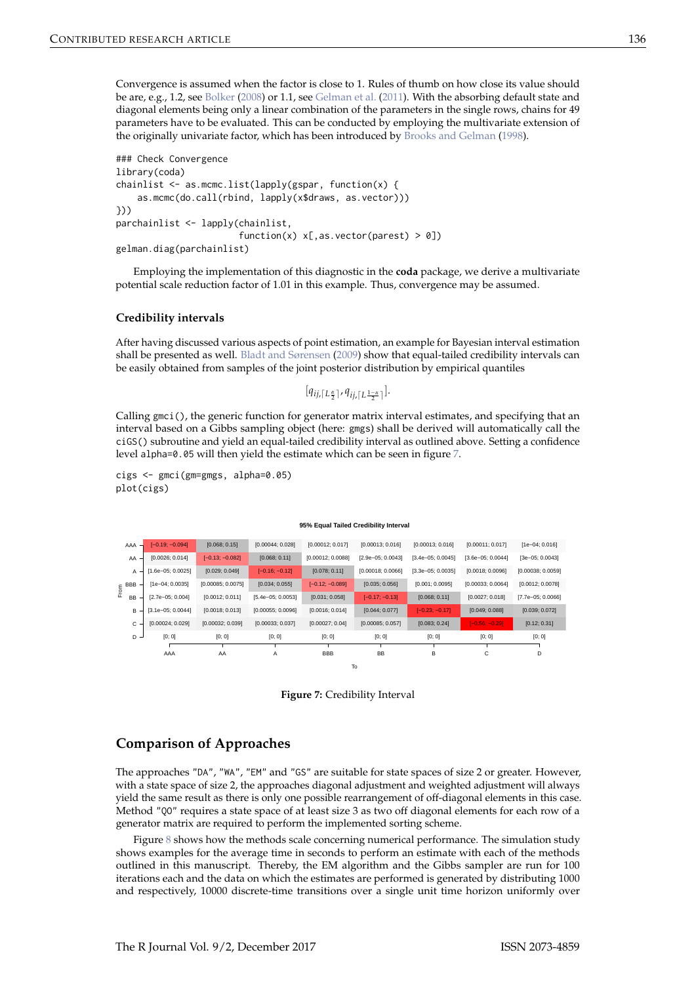<span id="page-9-1"></span>Convergence is assumed when the factor is close to 1. Rules of thumb on how close its value should be are, e.g., 1.2, see [Bolker](#page-12-10) [\(2008\)](#page-12-10) or 1.1, see [Gelman et al.](#page-13-20) [\(2011\)](#page-13-20). With the absorbing default state and diagonal elements being only a linear combination of the parameters in the single rows, chains for 49 parameters have to be evaluated. This can be conducted by employing the multivariate extension of the originally univariate factor, which has been introduced by [Brooks and Gelman](#page-12-11) [\(1998\)](#page-12-11).

```
### Check Convergence
library(coda)
chainlist <- as.mcmc.list(lapply(gspar, function(x) {
    as.mcmc(do.call(rbind, lapply(x$draws, as.vector)))
}))
parchainlist <- lapply(chainlist,
                       function(x) x[, as. vector(parest) > 0])
gelman.diag(parchainlist)
```
Employing the implementation of this diagnostic in the **coda** package, we derive a multivariate potential scale reduction factor of 1.01 in this example. Thus, convergence may be assumed.

#### **Credibility intervals**

After having discussed various aspects of point estimation, an example for Bayesian interval estimation shall be presented as well. [Bladt and Sørensen](#page-12-8) [\(2009\)](#page-12-8) show that equal-tailed credibility intervals can be easily obtained from samples of the joint posterior distribution by empirical quantiles

$$
[q_{ij,[L^{\alpha}_{2}]},q_{ij,[L^{\frac{1-\alpha}{2}}]}].
$$

Calling gmci(), the generic function for generator matrix interval estimates, and specifying that an interval based on a Gibbs sampling object (here: gmgs) shall be derived will automatically call the ciGS() subroutine and yield an equal-tailed credibility interval as outlined above. Setting a confidence level alpha=0.05 will then yield the estimate which can be seen in figure [7.](#page-9-0)

```
cigs <- gmci(gm=gmgs, alpha=0.05)
plot(cigs)
```
#### **95% Equal Tailed Credibility Interval**

<span id="page-9-0"></span>

**Figure 7:** Credibility Interval

## **Comparison of Approaches**

The approaches "DA", "WA", "EM" and "GS" are suitable for state spaces of size 2 or greater. However, with a state space of size 2, the approaches diagonal adjustment and weighted adjustment will always yield the same result as there is only one possible rearrangement of off-diagonal elements in this case. Method "QO" requires a state space of at least size 3 as two off diagonal elements for each row of a generator matrix are required to perform the implemented sorting scheme.

Figure [8](#page-10-0) shows how the methods scale concerning numerical performance. The simulation study shows examples for the average time in seconds to perform an estimate with each of the methods outlined in this manuscript. Thereby, the EM algorithm and the Gibbs sampler are run for 100 iterations each and the data on which the estimates are performed is generated by distributing 1000 and respectively, 10000 discrete-time transitions over a single unit time horizon uniformly over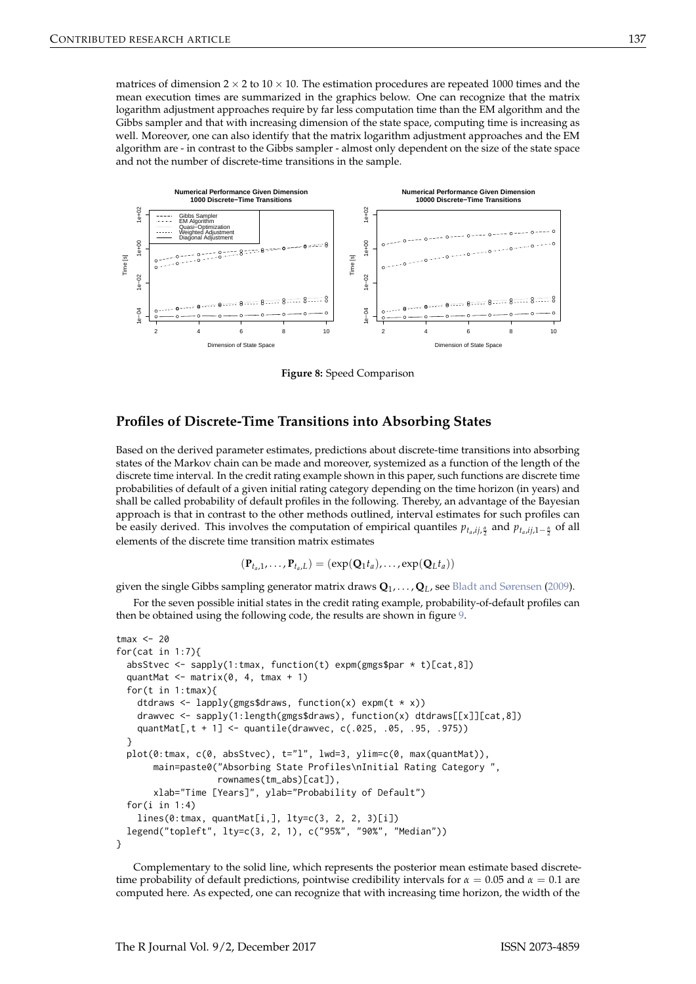<span id="page-10-1"></span>matrices of dimension  $2 \times 2$  to  $10 \times 10$ . The estimation procedures are repeated 1000 times and the mean execution times are summarized in the graphics below. One can recognize that the matrix logarithm adjustment approaches require by far less computation time than the EM algorithm and the Gibbs sampler and that with increasing dimension of the state space, computing time is increasing as well. Moreover, one can also identify that the matrix logarithm adjustment approaches and the EM algorithm are - in contrast to the Gibbs sampler - almost only dependent on the size of the state space and not the number of discrete-time transitions in the sample.

<span id="page-10-0"></span>

**Figure 8:** Speed Comparison

## **Profiles of Discrete-Time Transitions into Absorbing States**

Based on the derived parameter estimates, predictions about discrete-time transitions into absorbing states of the Markov chain can be made and moreover, systemized as a function of the length of the discrete time interval. In the credit rating example shown in this paper, such functions are discrete time probabilities of default of a given initial rating category depending on the time horizon (in years) and shall be called probability of default profiles in the following. Thereby, an advantage of the Bayesian approach is that in contrast to the other methods outlined, interval estimates for such profiles can be easily derived. This involves the computation of empirical quantiles  $p_{t_a,i j, \frac{\alpha}{2}}$  and  $p_{t_a,i j,1-\frac{\alpha}{2}}$  of all elements of the discrete time transition matrix estimates

$$
(\mathbf{P}_{t_a,1},\ldots,\mathbf{P}_{t_a,L})=(\exp(\mathbf{Q}_1t_a),\ldots,\exp(\mathbf{Q}_Lt_a))
$$

given the single Gibbs sampling generator matrix draws **Q**<sup>1</sup> , . . . , **Q***L*, see [Bladt and Sørensen](#page-12-8) [\(2009\)](#page-12-8).

For the seven possible initial states in the credit rating example, probability-of-default profiles can then be obtained using the following code, the results are shown in figure [9.](#page-11-0)

```
tmax <-20for(cat in 1:7){
  absStvec <- sapply(1:tmax, function(t) expm(gmgs$par \star t)[cat,8])
 quantMat \leq matrix(0, 4, tmax + 1)
  for(t in 1:tmax){
    dtdraws \leq lapply(gmgs$draws, function(x) expm(t \star x))
    drawvec <- sapply(1:length(gmgs$draws), function(x) dtdraws[[x]][cat,8])
    quantMat[,t + 1] <- quantile(drawvec, c(.025, .05, .95, .975))
 }
 plot(0:tmax, c(0, absStvec), t="l", lwd=3, ylim=c(0, max(quantMat)),
       main=paste0("Absorbing State Profiles\nInitial Rating Category ",
                   rownames(tm_abs)[cat]),
       xlab="Time [Years]", ylab="Probability of Default")
  for(i in 1:4)
    lines(0:tmax, quantMat[i,], lty=c(3, 2, 2, 3)[i])
 legend("topleft", lty=c(3, 2, 1), c("95%", "90%", "Median"))
}
```
Complementary to the solid line, which represents the posterior mean estimate based discretetime probability of default predictions, pointwise credibility intervals for *α* = 0.05 and *α* = 0.1 are computed here. As expected, one can recognize that with increasing time horizon, the width of the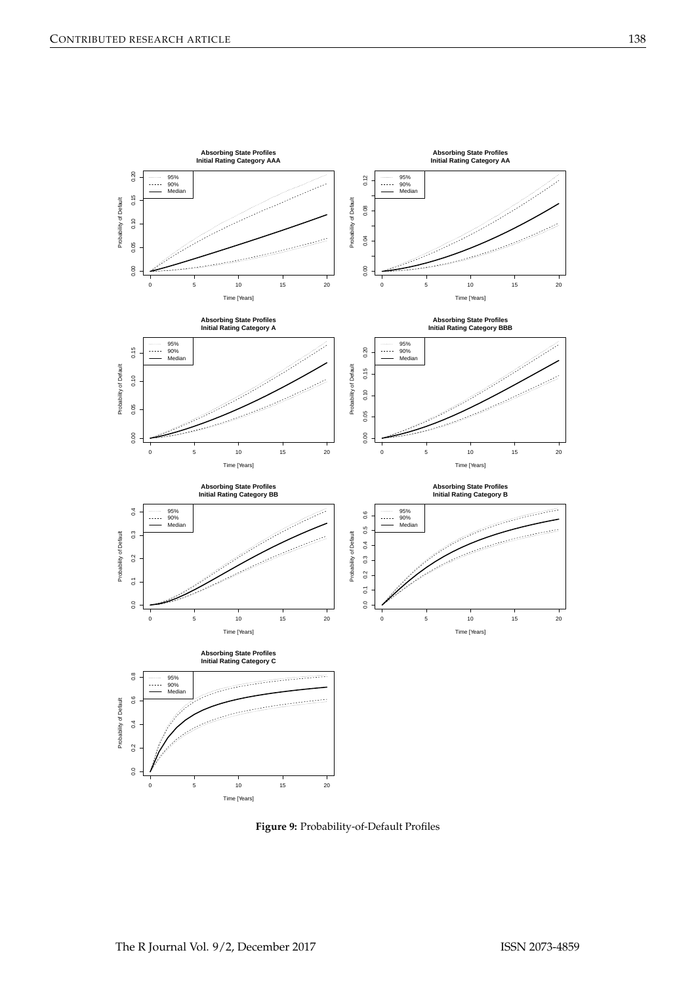<span id="page-11-0"></span>

**Figure 9:** Probability-of-Default Profiles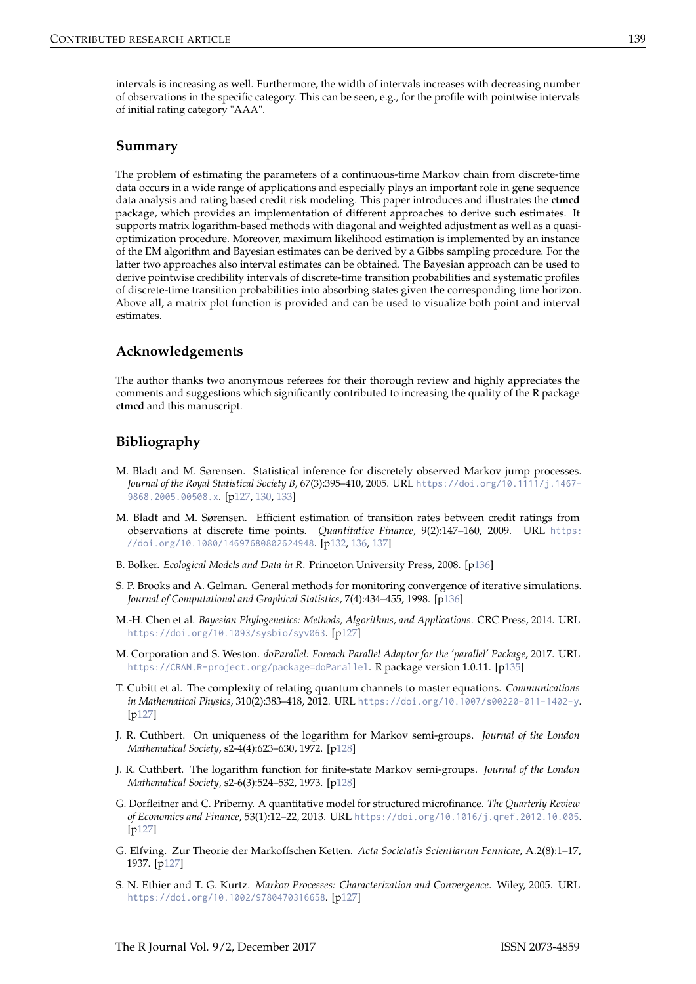intervals is increasing as well. Furthermore, the width of intervals increases with decreasing number of observations in the specific category. This can be seen, e.g., for the profile with pointwise intervals of initial rating category "AAA".

# **Summary**

The problem of estimating the parameters of a continuous-time Markov chain from discrete-time data occurs in a wide range of applications and especially plays an important role in gene sequence data analysis and rating based credit risk modeling. This paper introduces and illustrates the **ctmcd** package, which provides an implementation of different approaches to derive such estimates. It supports matrix logarithm-based methods with diagonal and weighted adjustment as well as a quasioptimization procedure. Moreover, maximum likelihood estimation is implemented by an instance of the EM algorithm and Bayesian estimates can be derived by a Gibbs sampling procedure. For the latter two approaches also interval estimates can be obtained. The Bayesian approach can be used to derive pointwise credibility intervals of discrete-time transition probabilities and systematic profiles of discrete-time transition probabilities into absorbing states given the corresponding time horizon. Above all, a matrix plot function is provided and can be used to visualize both point and interval estimates.

# **Acknowledgements**

The author thanks two anonymous referees for their thorough review and highly appreciates the comments and suggestions which significantly contributed to increasing the quality of the R package **ctmcd** and this manuscript.

# **Bibliography**

- <span id="page-12-0"></span>M. Bladt and M. Sørensen. Statistical inference for discretely observed Markov jump processes. *Journal of the Royal Statistical Society B*, 67(3):395–410, 2005. URL [https://doi.org/10.1111/j.1467-](https://doi.org/10.1111/j.1467-9868.2005.00508.x) [9868.2005.00508.x](https://doi.org/10.1111/j.1467-9868.2005.00508.x). [[p127,](#page-0-1) [130,](#page-3-1) [133\]](#page-6-1)
- <span id="page-12-8"></span>M. Bladt and M. Sørensen. Efficient estimation of transition rates between credit ratings from observations at discrete time points. *Quantitative Finance*, 9(2):147–160, 2009. URL [https:](https://doi.org/10.1080/14697680802624948) [//doi.org/10.1080/14697680802624948](https://doi.org/10.1080/14697680802624948). [[p132,](#page-5-2) [136,](#page-9-1) [137\]](#page-10-1)
- <span id="page-12-10"></span>B. Bolker. *Ecological Models and Data in R*. Princeton University Press, 2008. [[p136\]](#page-9-1)
- <span id="page-12-11"></span>S. P. Brooks and A. Gelman. General methods for monitoring convergence of iterative simulations. *Journal of Computational and Graphical Statistics*, 7(4):434–455, 1998. [[p136\]](#page-9-1)
- <span id="page-12-3"></span>M.-H. Chen et al. *Bayesian Phylogenetics: Methods, Algorithms, and Applications*. CRC Press, 2014. URL <https://doi.org/10.1093/sysbio/syv063>. [[p127\]](#page-0-1)
- <span id="page-12-9"></span>M. Corporation and S. Weston. *doParallel: Foreach Parallel Adaptor for the 'parallel' Package*, 2017. URL <https://CRAN.R-project.org/package=doParallel>. R package version 1.0.11. [[p135\]](#page-8-1)
- <span id="page-12-4"></span>T. Cubitt et al. The complexity of relating quantum channels to master equations. *Communications in Mathematical Physics*, 310(2):383–418, 2012. URL <https://doi.org/10.1007/s00220-011-1402-y>. [[p127\]](#page-0-1)
- <span id="page-12-6"></span>J. R. Cuthbert. On uniqueness of the logarithm for Markov semi-groups. *Journal of the London Mathematical Society*, s2-4(4):623–630, 1972. [[p128\]](#page-1-0)
- <span id="page-12-7"></span>J. R. Cuthbert. The logarithm function for finite-state Markov semi-groups. *Journal of the London Mathematical Society*, s2-6(3):524–532, 1973. [[p128\]](#page-1-0)
- <span id="page-12-5"></span>G. Dorfleitner and C. Priberny. A quantitative model for structured microfinance. *The Quarterly Review of Economics and Finance*, 53(1):12–22, 2013. URL <https://doi.org/10.1016/j.qref.2012.10.005>. [[p127\]](#page-0-1)
- <span id="page-12-2"></span>G. Elfving. Zur Theorie der Markoffschen Ketten. *Acta Societatis Scientiarum Fennicae*, A.2(8):1–17, 1937. [[p127\]](#page-0-1)
- <span id="page-12-1"></span>S. N. Ethier and T. G. Kurtz. *Markov Processes: Characterization and Convergence*. Wiley, 2005. URL <https://doi.org/10.1002/9780470316658>. [[p127\]](#page-0-1)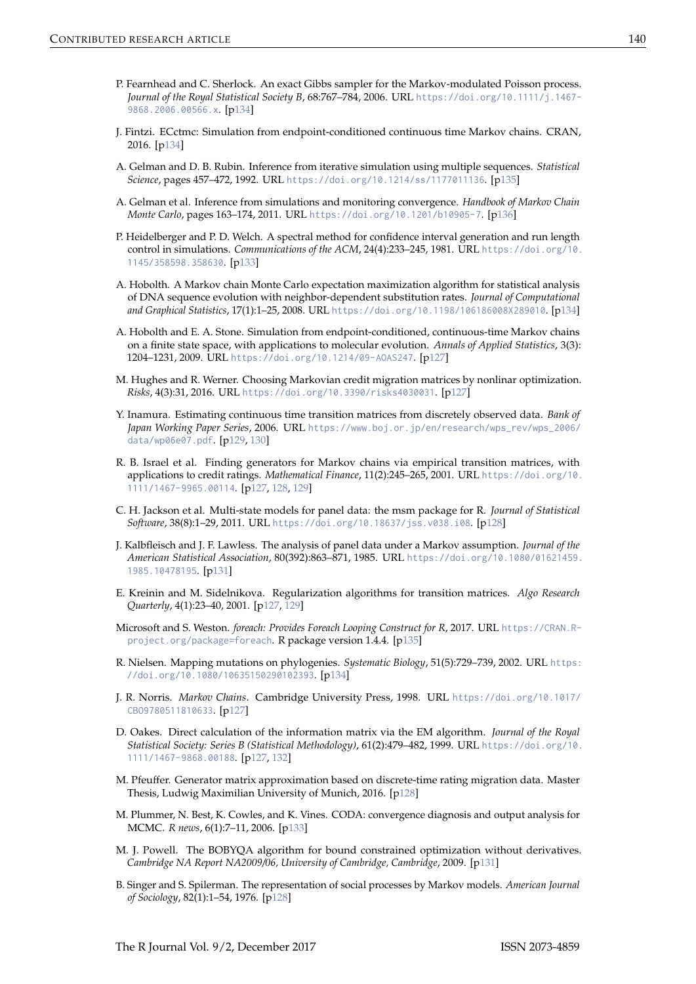- <span id="page-13-15"></span>P. Fearnhead and C. Sherlock. An exact Gibbs sampler for the Markov-modulated Poisson process. *Journal of the Royal Statistical Society B*, 68:767–784, 2006. URL [https://doi.org/10.1111/j.1467-](https://doi.org/10.1111/j.1467-9868.2006.00566.x) [9868.2006.00566.x](https://doi.org/10.1111/j.1467-9868.2006.00566.x). [[p134\]](#page-7-1)
- <span id="page-13-16"></span>J. Fintzi. ECctmc: Simulation from endpoint-conditioned continuous time Markov chains. CRAN, 2016. [[p134\]](#page-7-1)
- <span id="page-13-19"></span>A. Gelman and D. B. Rubin. Inference from iterative simulation using multiple sequences. *Statistical Science*, pages 457–472, 1992. URL <https://doi.org/10.1214/ss/1177011136>. [[p135\]](#page-8-1)
- <span id="page-13-20"></span>A. Gelman et al. Inference from simulations and monitoring convergence. *Handbook of Markov Chain Monte Carlo*, pages 163–174, 2011. URL <https://doi.org/10.1201/b10905-7>. [[p136\]](#page-9-1)
- <span id="page-13-12"></span>P. Heidelberger and P. D. Welch. A spectral method for confidence interval generation and run length control in simulations. *Communications of the ACM*, 24(4):233–245, 1981. URL [https://doi.org/10.](https://doi.org/10.1145/358598.358630) [1145/358598.358630](https://doi.org/10.1145/358598.358630). [[p133\]](#page-6-1)
- <span id="page-13-17"></span>A. Hobolth. A Markov chain Monte Carlo expectation maximization algorithm for statistical analysis of DNA sequence evolution with neighbor-dependent substitution rates. *Journal of Computational and Graphical Statistics*, 17(1):1–25, 2008. URL <https://doi.org/10.1198/106186008X289010>. [[p134\]](#page-7-1)
- <span id="page-13-4"></span>A. Hobolth and E. A. Stone. Simulation from endpoint-conditioned, continuous-time Markov chains on a finite state space, with applications to molecular evolution. *Annals of Applied Statistics*, 3(3): 1204–1231, 2009. URL <https://doi.org/10.1214/09-AOAS247>. [[p127\]](#page-0-1)
- <span id="page-13-5"></span>M. Hughes and R. Werner. Choosing Markovian credit migration matrices by nonlinar optimization. *Risks*, 4(3):31, 2016. URL <https://doi.org/10.3390/risks4030031>. [[p127\]](#page-0-1)
- <span id="page-13-9"></span>Y. Inamura. Estimating continuous time transition matrices from discretely observed data. *Bank of Japan Working Paper Series*, 2006. URL [https://www.boj.or.jp/en/research/wps\\_rev/wps\\_2006/](https://www.boj.or.jp/en/research/wps_rev/wps_2006/data/wp06e07.pdf) [data/wp06e07.pdf](https://www.boj.or.jp/en/research/wps_rev/wps_2006/data/wp06e07.pdf). [[p129,](#page-2-0) [130\]](#page-3-1)
- <span id="page-13-0"></span>R. B. Israel et al. Finding generators for Markov chains via empirical transition matrices, with applications to credit ratings. *Mathematical Finance*, 11(2):245–265, 2001. URL [https://doi.org/10.](https://doi.org/10.1111/1467-9965.00114) [1111/1467-9965.00114](https://doi.org/10.1111/1467-9965.00114). [[p127,](#page-0-1) [128,](#page-1-0) [129\]](#page-2-0)
- <span id="page-13-6"></span>C. H. Jackson et al. Multi-state models for panel data: the msm package for R. *Journal of Statistical Software*, 38(8):1–29, 2011. URL <https://doi.org/10.18637/jss.v038.i08>. [[p128\]](#page-1-0)
- <span id="page-13-11"></span>J. Kalbfleisch and J. F. Lawless. The analysis of panel data under a Markov assumption. *Journal of the American Statistical Association*, 80(392):863–871, 1985. URL [https://doi.org/10.1080/01621459.](https://doi.org/10.1080/01621459.1985.10478195) [1985.10478195](https://doi.org/10.1080/01621459.1985.10478195). [[p131\]](#page-4-0)
- <span id="page-13-1"></span>E. Kreinin and M. Sidelnikova. Regularization algorithms for transition matrices. *Algo Research Quarterly*, 4(1):23–40, 2001. [[p127,](#page-0-1) [129\]](#page-2-0)
- <span id="page-13-18"></span>Microsoft and S. Weston. *foreach: Provides Foreach Looping Construct for R*, 2017. URL [https://CRAN.R](https://CRAN.R-project.org/package=foreach)[project.org/package=foreach](https://CRAN.R-project.org/package=foreach). R package version 1.4.4. [[p135\]](#page-8-1)
- <span id="page-13-14"></span>R. Nielsen. Mapping mutations on phylogenies. *Systematic Biology*, 51(5):729–739, 2002. URL [https:](https://doi.org/10.1080/10635150290102393) [//doi.org/10.1080/10635150290102393](https://doi.org/10.1080/10635150290102393). [[p134\]](#page-7-1)
- <span id="page-13-3"></span>J. R. Norris. *Markov Chains*. Cambridge University Press, 1998. URL [https://doi.org/10.1017/](https://doi.org/10.1017/CBO9780511810633) [CBO9780511810633](https://doi.org/10.1017/CBO9780511810633). [[p127\]](#page-0-1)
- <span id="page-13-2"></span>D. Oakes. Direct calculation of the information matrix via the EM algorithm. *Journal of the Royal Statistical Society: Series B (Statistical Methodology)*, 61(2):479–482, 1999. URL [https://doi.org/10.](https://doi.org/10.1111/1467-9868.00188) [1111/1467-9868.00188](https://doi.org/10.1111/1467-9868.00188). [[p127,](#page-0-1) [132\]](#page-5-2)
- <span id="page-13-7"></span>M. Pfeuffer. Generator matrix approximation based on discrete-time rating migration data. Master Thesis, Ludwig Maximilian University of Munich, 2016. [[p128\]](#page-1-0)
- <span id="page-13-13"></span>M. Plummer, N. Best, K. Cowles, and K. Vines. CODA: convergence diagnosis and output analysis for MCMC. *R news*, 6(1):7–11, 2006. [[p133\]](#page-6-1)
- <span id="page-13-10"></span>M. J. Powell. The BOBYQA algorithm for bound constrained optimization without derivatives. *Cambridge NA Report NA2009/06, University of Cambridge, Cambridge*, 2009. [[p131\]](#page-4-0)
- <span id="page-13-8"></span>B. Singer and S. Spilerman. The representation of social processes by Markov models. *American Journal of Sociology*, 82(1):1–54, 1976. [[p128\]](#page-1-0)